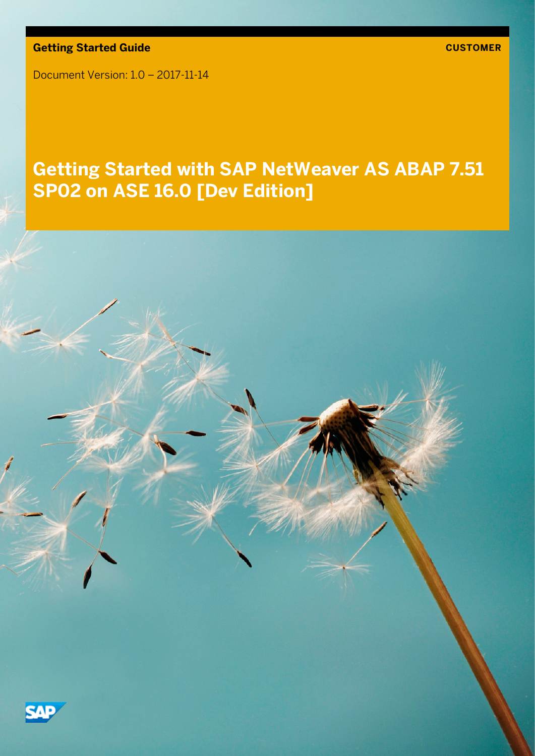**Getting Started Guide**

Document Version: 1.0 – 2017-11-14

# **Getting Started with SAP NetWeaver AS ABAP 7.51 SP02 on ASE 16.0 [Dev Edition]**

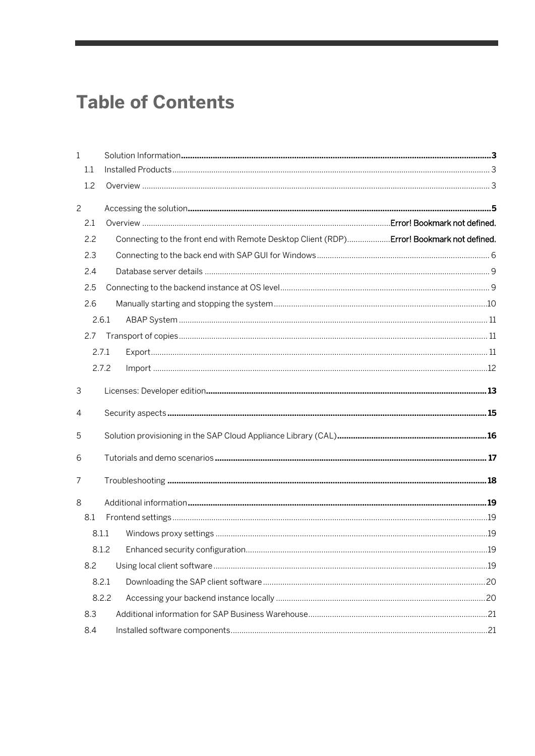# **Table of Contents**

| $\mathbf{1}$   |                                                                                           |  |
|----------------|-------------------------------------------------------------------------------------------|--|
| 1.1            |                                                                                           |  |
| 1.2            |                                                                                           |  |
| $\overline{c}$ |                                                                                           |  |
| 2.1            |                                                                                           |  |
| 2.2            | Connecting to the front end with Remote Desktop Client (RDP) Error! Bookmark not defined. |  |
| 2.3            |                                                                                           |  |
| 2.4            |                                                                                           |  |
| 2.5            |                                                                                           |  |
| 2.6            |                                                                                           |  |
|                | 2.6.1                                                                                     |  |
| 2.7            |                                                                                           |  |
|                | 2.7.1                                                                                     |  |
|                | 2.7.2                                                                                     |  |
| 3              |                                                                                           |  |
| 4              |                                                                                           |  |
| 5              |                                                                                           |  |
| 6              |                                                                                           |  |
| 7              |                                                                                           |  |
| 8              |                                                                                           |  |
| 8.1            |                                                                                           |  |
|                | 8.1.1                                                                                     |  |
|                |                                                                                           |  |
| 8.2            |                                                                                           |  |
|                | 8.2.1                                                                                     |  |
|                | 8.2.2                                                                                     |  |
| 8.3            |                                                                                           |  |
| 8.4            |                                                                                           |  |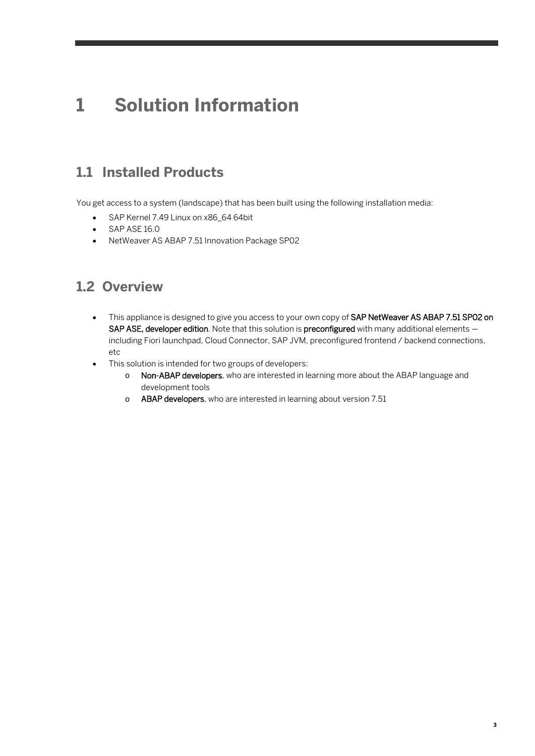# <span id="page-2-0"></span>**1 Solution Information**

## <span id="page-2-1"></span>**1.1 Installed Products**

You get access to a system (landscape) that has been built using the following installation media:

- SAP Kernel 7.49 Linux on x86\_64 64bit
- SAP ASE 16.0
- <span id="page-2-2"></span>• NetWeaver AS ABAP 7.51 Innovation Package SP02

### **1.2 Overview**

- This appliance is designed to give you access to your own copy of SAP NetWeaver AS ABAP 7.51 SP02 on SAP ASE, developer edition. Note that this solution is preconfigured with many additional elements including Fiori launchpad, Cloud Connector, SAP JVM, preconfigured frontend / backend connections, etc
- This solution is intended for two groups of developers:
	- o Non-ABAP developers, who are interested in learning more about the ABAP language and development tools
	- o ABAP developers, who are interested in learning about version 7.51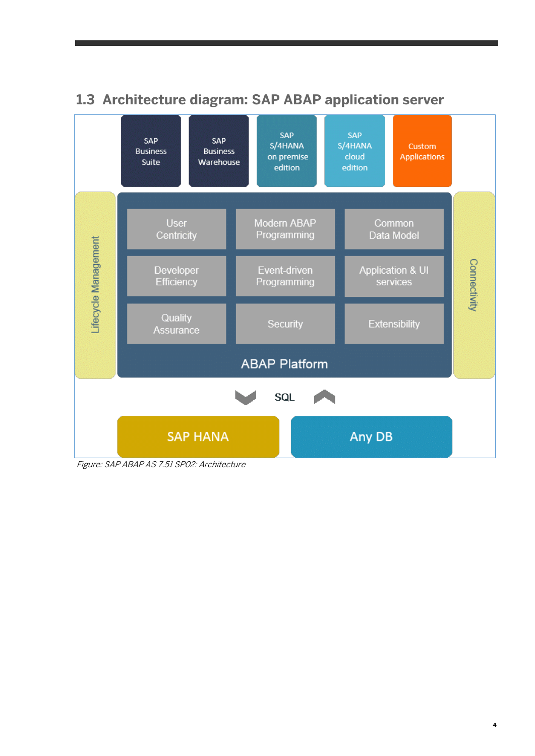

# **1.3 Architecture diagram: SAP ABAP application server**

Figure: SAP ABAP AS 7.51 SP02: Architecture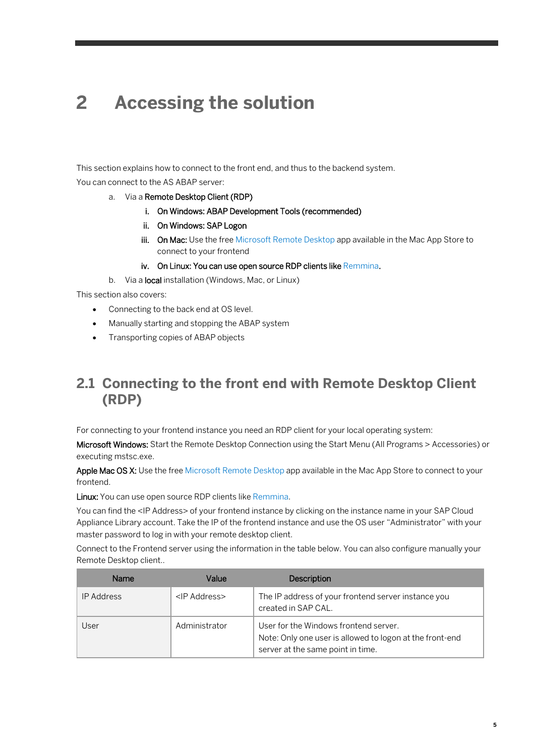# <span id="page-4-0"></span>**2 Accessing the solution**

This section explains how to connect to the front end, and thus to the backend system. You can connect to the AS ABAP server:

#### a. Via a Remote Desktop Client (RDP)

- i. On Windows: ABAP Development Tools (recommended)
- ii. On Windows: SAP Logon
- iii. On Mac: Use the fre[e Microsoft Remote Desktop](https://itunes.apple.com/en/app/microsoft-remote-desktop/id715768417) app available in the Mac App Store to connect to your frontend
- iv. On Linux: You can use open source RDP clients lik[e Remmina.](http://remmina.sourceforge.net/)

b. Via a **local** installation (Windows, Mac, or Linux)

This section also covers:

- Connecting to the back end at OS level.
- Manually starting and stopping the ABAP system
- Transporting copies of ABAP objects

### **2.1 Connecting to the front end with Remote Desktop Client (RDP)**

For connecting to your frontend instance you need an RDP client for your local operating system:

Microsoft Windows: Start the Remote Desktop Connection using the Start Menu (All Programs > Accessories) or executing mstsc.exe.

Apple Mac OS X: Use the fre[e Microsoft Remote Desktop](https://itunes.apple.com/en/app/microsoft-remote-desktop/id715768417) app available in the Mac App Store to connect to your frontend.

Linux: You can use open source RDP clients lik[e Remmina.](http://remmina.sourceforge.net/)

You can find the <IP Address> of your frontend instance by clicking on the instance name in your SAP Cloud Appliance Library account. Take the IP of the frontend instance and use the OS user "Administrator" with your master password to log in with your remote desktop client.

Connect to the Frontend server using the information in the table below. You can also configure manually your Remote Desktop client..

| Name              | Value                | Description                                                                                                                            |
|-------------------|----------------------|----------------------------------------------------------------------------------------------------------------------------------------|
| <b>IP Address</b> | <ip address=""></ip> | The IP address of your frontend server instance you<br>created in SAP CAL.                                                             |
| User              | Administrator        | User for the Windows frontend server.<br>Note: Only one user is allowed to logon at the front-end<br>server at the same point in time. |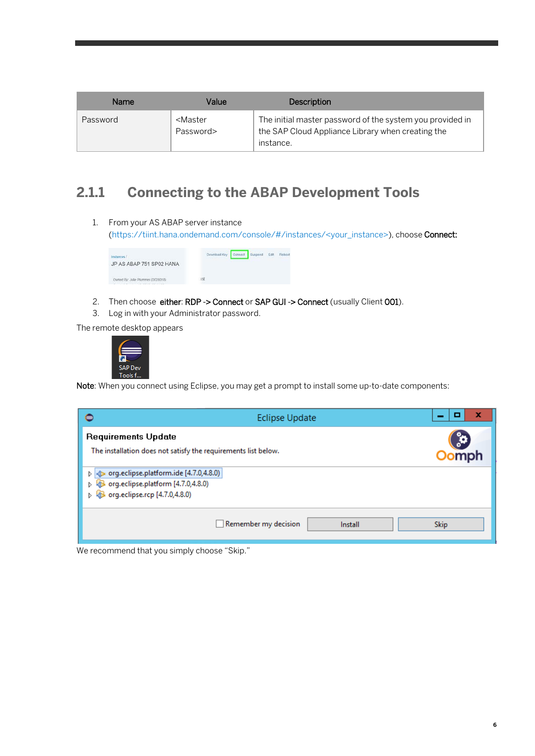| <b>Name</b> | Value                               | <b>Description</b>                                                                                                          |
|-------------|-------------------------------------|-----------------------------------------------------------------------------------------------------------------------------|
| Password    | <master<br>Password&gt;</master<br> | The initial master password of the system you provided in<br>the SAP Cloud Appliance Library when creating the<br>instance. |

## <span id="page-5-0"></span>**2.1.1 Connecting to the ABAP Development Tools**

1. From your AS ABAP server instance [\(https://tiint.hana.ondemand.com/console/#/instances/<your\\_instance>\)](https://tiint.hana.ondemand.com/console/#/instances/%3Cyour_instance%3E), choose Connect:



- 2. Then choose either: RDP -> Connect or SAP GUI -> Connect (usually Client 001).
- 3. Log in with your Administrator password.

The remote desktop appears



Note: When you connect using Eclipse, you may get a prompt to install some up-to-date components:

| ⊜<br><b>Eclipse Update</b>                                                                                         | ×<br>□      |
|--------------------------------------------------------------------------------------------------------------------|-------------|
| <b>Requirements Update</b><br>The installation does not satisfy the requirements list below.                       | mph         |
| org.eclipse.platform.ide [4.7.0,4.8.0)<br>D<br>org.eclipse.platform [4.7.0,4.8.0)<br>org.eclipse.rcp [4.7.0,4.8.0) |             |
| Remember my decision<br>Install                                                                                    | <b>Skip</b> |

We recommend that you simply choose "Skip."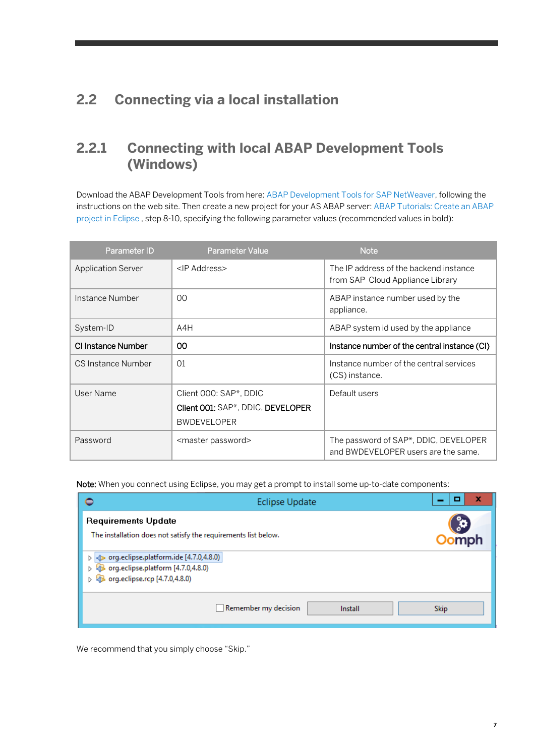# **2.2 Connecting via a local installation**

### **2.2.1 Connecting with local ABAP Development Tools (Windows)**

Download the ABAP Development Tools from here: [ABAP Development Tools for SAP NetWeaver,](https://tools.hana.ondemand.com/%23abap) following the instructions on the web site. Then create a new project for your AS ABAP server: [ABAP Tutorials: Create an ABAP](https://www.sap.com/developer/tutorials/abap-create-project.html)  [project in Eclipse](https://www.sap.com/developer/tutorials/abap-create-project.html) , step 8-10, specifying the following parameter values (recommended values in bold):

| Parameter ID              | <b>Parameter Value</b>                                                            | <b>Note</b>                                                                  |
|---------------------------|-----------------------------------------------------------------------------------|------------------------------------------------------------------------------|
| <b>Application Server</b> | <ip address=""></ip>                                                              | The IP address of the backend instance<br>from SAP Cloud Appliance Library   |
| Instance Number           | $00 \,$                                                                           | ABAP instance number used by the<br>appliance.                               |
| System-ID                 | A4H                                                                               | ABAP system id used by the appliance                                         |
| CI Instance Number        | $00 \,$                                                                           | Instance number of the central instance (CI)                                 |
| CS Instance Number        | 01                                                                                | Instance number of the central services<br>(CS) instance.                    |
| User Name                 | Client 000: SAP*, DDIC<br>Client 001: SAP*, DDIC, DEVELOPER<br><b>BWDEVELOPER</b> | Default users                                                                |
| Password                  | <master password=""></master>                                                     | The password of SAP*, DDIC, DEVELOPER<br>and BWDEVELOPER users are the same. |

Note: When you connect using Eclipse, you may get a prompt to install some up-to-date components:

| ⊜                                                                                                                | <b>Eclipse Update</b>                                          | x                  |
|------------------------------------------------------------------------------------------------------------------|----------------------------------------------------------------|--------------------|
| <b>Requirements Update</b>                                                                                       | The installation does not satisfy the requirements list below. | ွံ့ဝ<br><b>mph</b> |
| org.eclipse.platform.ide [4.7.0,4.8.0)<br>org.eclipse.platform [4.7.0,4.8.0)<br>p. org.eclipse.rcp [4.7.0,4.8.0) |                                                                |                    |
|                                                                                                                  | Remember my decision<br>Install                                | <b>Skip</b>        |

We recommend that you simply choose "Skip."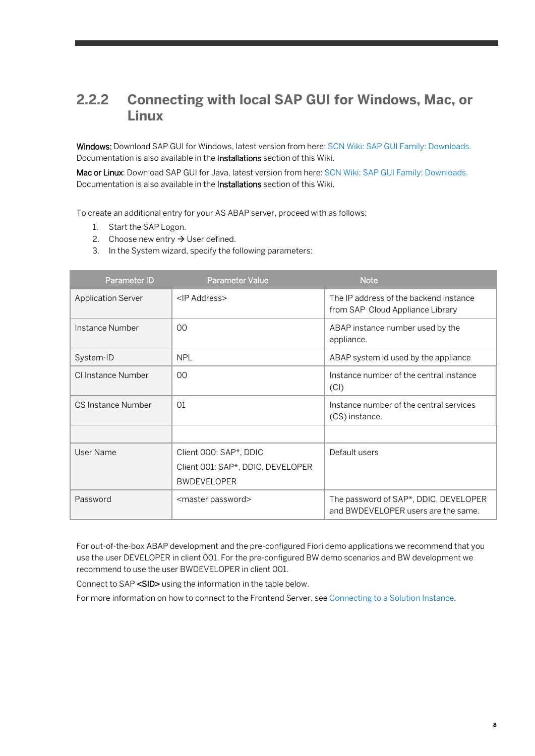### **2.2.2 Connecting with local SAP GUI for Windows, Mac, or Linux**

Windows: Download SAP GUI for Windows, latest version from here: [SCN Wiki: SAP GUI Family: Downloads.](https://wiki.scn.sap.com/wiki/display/ATopics/SAP+GUI+Family#section13) Documentation is also available in the Installations section of this Wiki.

Mac or Linux: Download SAP GUI for Java, latest version from here[: SCN Wiki: SAP GUI Family: Downloads.](https://wiki.scn.sap.com/wiki/display/ATopics/SAP+GUI+Family#section13) Documentation is also available in the Installations section of this Wiki.

To create an additional entry for your AS ABAP server, proceed with as follows:

- 1. Start the SAP Logon.
- 2. Choose new entry  $\rightarrow$  User defined.
- 3. In the System wizard, specify the following parameters:

| Parameter ID              | <b>Parameter Value</b>                                                            | <b>Note</b>                                                                  |
|---------------------------|-----------------------------------------------------------------------------------|------------------------------------------------------------------------------|
| <b>Application Server</b> | <ip address=""></ip>                                                              | The IP address of the backend instance<br>from SAP Cloud Appliance Library   |
| Instance Number           | $00 \,$                                                                           | ABAP instance number used by the<br>appliance.                               |
| System-ID                 | <b>NPL</b>                                                                        | ABAP system id used by the appliance                                         |
| CI Instance Number        | $00 \,$                                                                           | Instance number of the central instance<br>(Cl)                              |
| CS Instance Number        | 01                                                                                | Instance number of the central services<br>(CS) instance.                    |
|                           |                                                                                   |                                                                              |
| User Name                 | Client 000: SAP*, DDIC<br>Client 001: SAP*, DDIC, DEVELOPER<br><b>BWDEVELOPER</b> | Default users                                                                |
| Password                  | <master password=""></master>                                                     | The password of SAP*, DDIC, DEVELOPER<br>and BWDEVELOPER users are the same. |

For out-of-the-box ABAP development and the pre-configured Fiori demo applications we recommend that you use the user DEVELOPER in client 001. For the pre-configured BW demo scenarios and BW development we recommend to use the user BWDEVELOPER in client 001.

Connect to SAP <SID> using the information in the table below.

For more information on how to connect to the Frontend Server, se[e Connecting to a Solution Instance.](https://calstatic.hana.ondemand.com/res/docEN/7120b91b1d2a41fea9ffaff83023f349.html)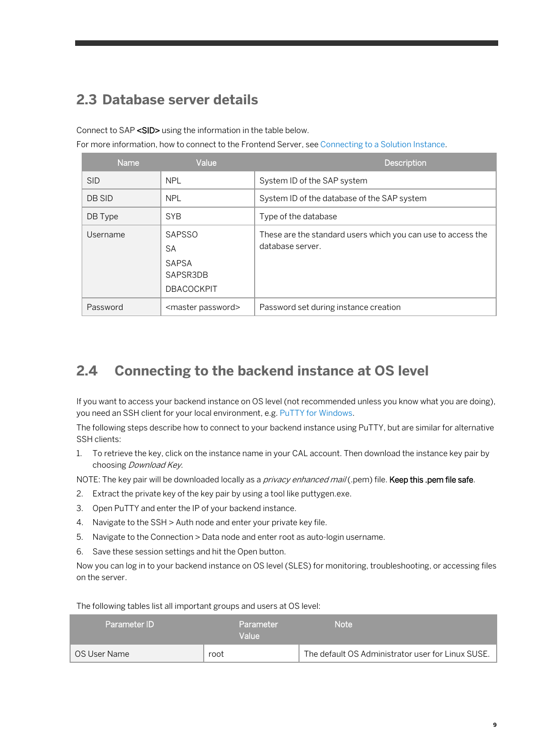# <span id="page-8-0"></span>**2.3 Database server details**

Connect to SAP <SID> using the information in the table below.

For more information, how to connect to the Frontend Server, se[e Connecting to a Solution Instance.](https://calstatic.hana.ondemand.com/res/docEN/7120b91b1d2a41fea9ffaff83023f349.html)

| <b>Name</b> | Value                                                                | <b>Description</b>                                                               |
|-------------|----------------------------------------------------------------------|----------------------------------------------------------------------------------|
| <b>SID</b>  | <b>NPL</b>                                                           | System ID of the SAP system                                                      |
| DB SID      | <b>NPL</b>                                                           | System ID of the database of the SAP system                                      |
| DB Type     | <b>SYB</b>                                                           | Type of the database                                                             |
| Username    | <b>SAPSSO</b><br>SA<br><b>SAPSA</b><br>SAPSR3DB<br><b>DBACOCKPIT</b> | These are the standard users which you can use to access the<br>database server. |
| Password    | <master password=""></master>                                        | Password set during instance creation                                            |

## <span id="page-8-1"></span>**2.4 Connecting to the backend instance at OS level**

If you want to access your backend instance on OS level (not recommended unless you know what you are doing), you need an SSH client for your local environment, e.g[. PuTTY for Windows.](http://www.chiark.greenend.org.uk/%7Esgtatham/putty/download.html)

The following steps describe how to connect to your backend instance using PuTTY, but are similar for alternative SSH clients:

1. To retrieve the key, click on the instance name in your CAL account. Then download the instance key pair by choosing Download Key.

NOTE: The key pair will be downloaded locally as a *privacy enhanced mail* (.pem) file. Keep this .pem file safe.

- 2. Extract the private key of the key pair by using a tool like puttygen.exe.
- 3. Open PuTTY and enter the IP of your backend instance.
- 4. Navigate to the SSH > Auth node and enter your private key file.
- 5. Navigate to the Connection > Data node and enter root as auto-login username.
- 6. Save these session settings and hit the Open button.

Now you can log in to your backend instance on OS level (SLES) for monitoring, troubleshooting, or accessing files on the server.

The following tables list all important groups and users at OS level:

| Parameter ID | <b>Parameter</b><br>Value | Note                                              |
|--------------|---------------------------|---------------------------------------------------|
| OS User Name | root                      | The default OS Administrator user for Linux SUSE. |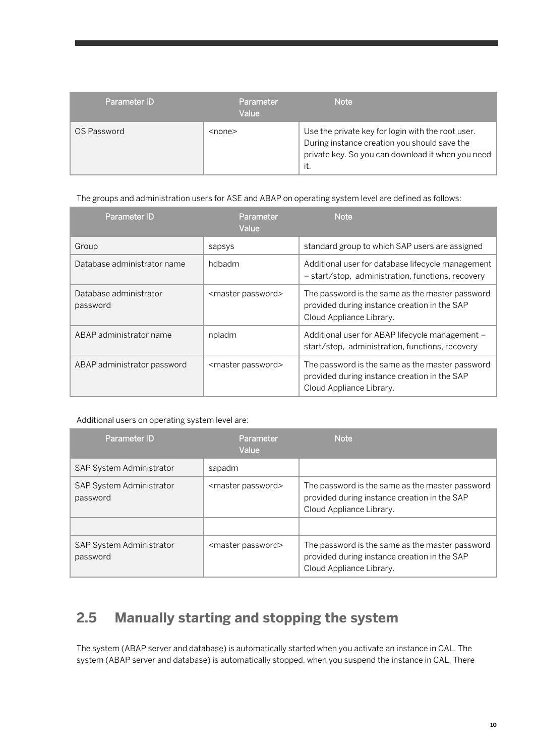| Parameter ID | Parameter<br>Value | Note                                                                                                                                                          |
|--------------|--------------------|---------------------------------------------------------------------------------------------------------------------------------------------------------------|
| OS Password  | $<$ none $>$       | Use the private key for login with the root user.<br>During instance creation you should save the<br>private key. So you can download it when you need<br>it. |

The groups and administration users for ASE and ABAP on operating system level are defined as follows:

| Parameter ID                       | Parameter<br>Value            | <b>Note</b>                                                                                                                 |
|------------------------------------|-------------------------------|-----------------------------------------------------------------------------------------------------------------------------|
| Group                              | sapsys                        | standard group to which SAP users are assigned                                                                              |
| Database administrator name        | hdbadm                        | Additional user for database lifecycle management<br>- start/stop, administration, functions, recovery                      |
| Database administrator<br>password | <master password=""></master> | The password is the same as the master password<br>provided during instance creation in the SAP<br>Cloud Appliance Library. |
| ABAP administrator name            | npladm                        | Additional user for ABAP lifecycle management -<br>start/stop, administration, functions, recovery                          |
| ABAP administrator password        | <master password=""></master> | The password is the same as the master password<br>provided during instance creation in the SAP<br>Cloud Appliance Library. |

#### Additional users on operating system level are:

| Parameter ID                                | Parameter<br>Value            | <b>Note</b>                                                                                                                 |
|---------------------------------------------|-------------------------------|-----------------------------------------------------------------------------------------------------------------------------|
| <b>SAP System Administrator</b>             | sapadm                        |                                                                                                                             |
| <b>SAP System Administrator</b><br>password | <master password=""></master> | The password is the same as the master password<br>provided during instance creation in the SAP<br>Cloud Appliance Library. |
|                                             |                               |                                                                                                                             |
| SAP System Administrator<br>password        | <master password=""></master> | The password is the same as the master password<br>provided during instance creation in the SAP<br>Cloud Appliance Library. |

# <span id="page-9-0"></span>**2.5 Manually starting and stopping the system**

The system (ABAP server and database) is automatically started when you activate an instance in CAL. The system (ABAP server and database) is automatically stopped, when you suspend the instance in CAL. There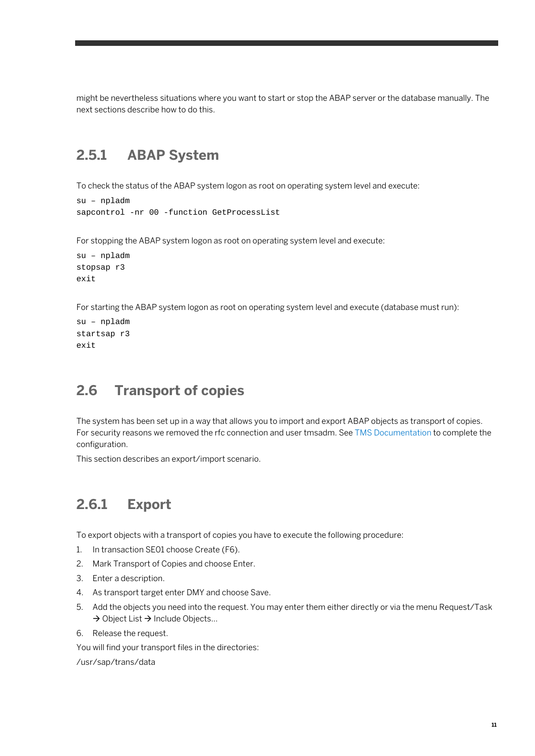<span id="page-10-0"></span>might be nevertheless situations where you want to start or stop the ABAP server or the database manually. The next sections describe how to do this.

## **2.5.1 ABAP System**

To check the status of the ABAP system logon as root on operating system level and execute:

```
su – npladm
sapcontrol -nr 00 -function GetProcessList
```
For stopping the ABAP system logon as root on operating system level and execute:

```
su – npladm
stopsap r3
exit
```
For starting the ABAP system logon as root on operating system level and execute (database must run):

```
su – npladm
startsap r3
exit
```
### <span id="page-10-1"></span>**2.6 Transport of copies**

The system has been set up in a way that allows you to import and export ABAP objects as transport of copies. For security reasons we removed the rfc connection and user tmsadm. See [TMS Documentation](http://help.sap.com/saphelp_nw70/helpdata/en/57/38dd4e4eb711d182bf0000e829fbfe/content.htm?frameset=/en/44/b4a09a7acc11d1899e0000e829fbbd/frameset.htm¤t_toc=/en/b4/d0340a2d0f433cbeb69660e750d74b/plain.htm&node_id=147&show_children=true#jump78) to complete the configuration.

<span id="page-10-2"></span>This section describes an export/import scenario.

# **2.6.1 Export**

To export objects with a transport of copies you have to execute the following procedure:

- 1. In transaction SE01 choose Create (F6).
- 2. Mark Transport of Copies and choose Enter.
- 3. Enter a description.
- 4. As transport target enter DMY and choose Save.
- 5. Add the objects you need into the request. You may enter them either directly or via the menu Request/Task  $\rightarrow$  Object List  $\rightarrow$  Include Objects...
- 6. Release the request.

You will find your transport files in the directories:

/usr/sap/trans/data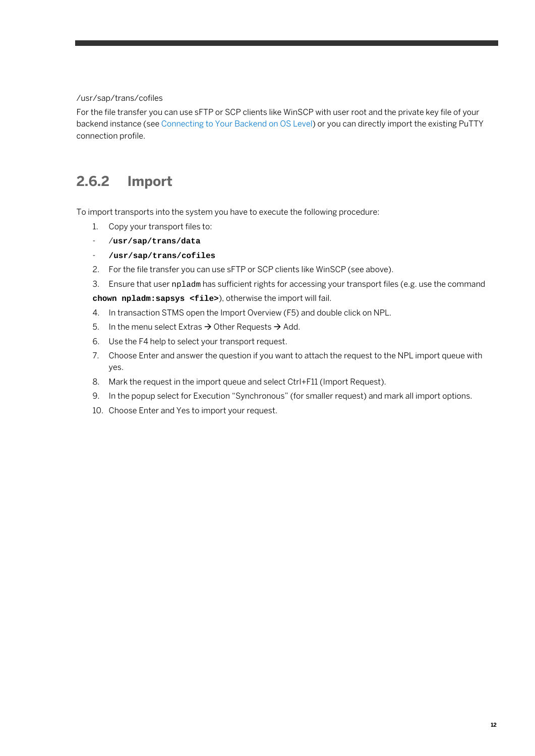#### /usr/sap/trans/cofiles

For the file transfer you can use sFTP or SCP clients like WinSCP with user root and the private key file of your backend instance (see Connecting to Your Backend on OS Level) or you can directly import the existing PuTTY connection profile.

## <span id="page-11-0"></span>**2.6.2 Import**

To import transports into the system you have to execute the following procedure:

- 1. Copy your transport files to:
- /**usr/sap/trans/data**
- **/usr/sap/trans/cofiles**
- 2. For the file transfer you can use sFTP or SCP clients like WinSCP (see above).
- 3. Ensure that user npladm has sufficient rights for accessing your transport files (e.g. use the command

**chown npladm:sapsys <file>**), otherwise the import will fail.

- 4. In transaction STMS open the Import Overview (F5) and double click on NPL.
- 5. In the menu select Extras  $\rightarrow$  Other Requests  $\rightarrow$  Add.
- 6. Use the F4 help to select your transport request.
- 7. Choose Enter and answer the question if you want to attach the request to the NPL import queue with yes.
- 8. Mark the request in the import queue and select Ctrl+F11 (Import Request).
- 9. In the popup select for Execution "Synchronous" (for smaller request) and mark all import options.
- 10. Choose Enter and Yes to import your request.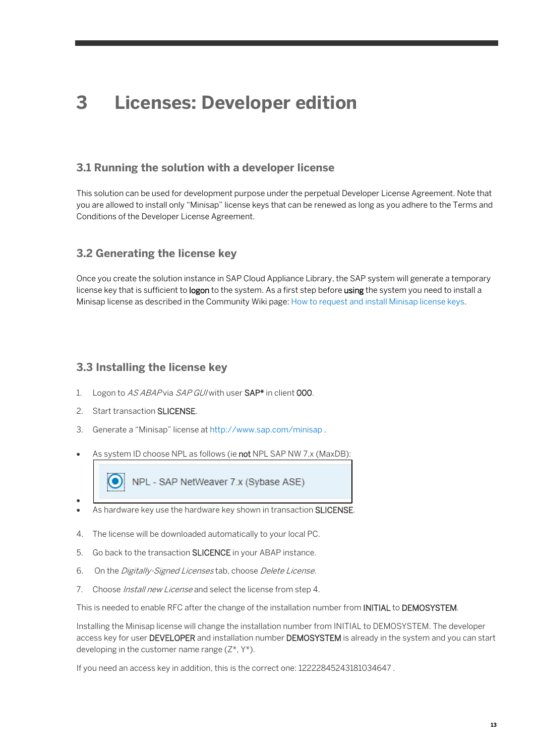# <span id="page-12-0"></span>**3 Licenses: Developer edition**

### **3.1 Running the solution with a developer license**

This solution can be used for development purpose under the perpetual Developer License Agreement. Note that you are allowed to install only "Minisap" license keys that can be renewed as long as you adhere to the Terms and Conditions of the Developer License Agreement.

### **3.2 Generating the license key**

Once you create the solution instance in SAP Cloud Appliance Library, the SAP system will generate a temporary license key that is sufficient to logon to the system. As a first step before using the system you need to install a Minisap license as described in the Community Wiki page: [How to request and install Minisap license keys.](https://wiki.scn.sap.com/wiki/pages/viewpage.action?pageId=451058309)

### **3.3 Installing the license key**

- 1. Logon to AS ABAP via SAP GUI with user SAP<sup>\*</sup> in client 000.
- 2. Start transaction **SLICENSE**.
- 3. Generate a "Minisap" license at <http://www.sap.com/minisap> .
- As system ID choose NPL as follows (ie not NPL SAP NW 7.x (MaxDB):
- 

NPL - SAP NetWeaver 7.x (Sybase ASE)

- As hardware key use the hardware key shown in transaction SLICENSE.
- 4. The license will be downloaded automatically to your local PC.
- 5. Go back to the transaction SLICENCE in your ABAP instance.
- 6. On the Digitally-Signed Licenses tab, choose Delete License.
- 7. Choose *Install new License* and select the license from step 4.

This is needed to enable RFC after the change of the installation number from INITIAL to DEMOSYSTEM.

Installing the Minisap license will change the installation number from INITIAL to DEMOSYSTEM. The developer access key for user DEVELOPER and installation number DEMOSYSTEM is already in the system and you can start developing in the customer name range  $(Z^*, Y^*)$ .

If you need an access key in addition, this is the correct one: 12222845243181034647 .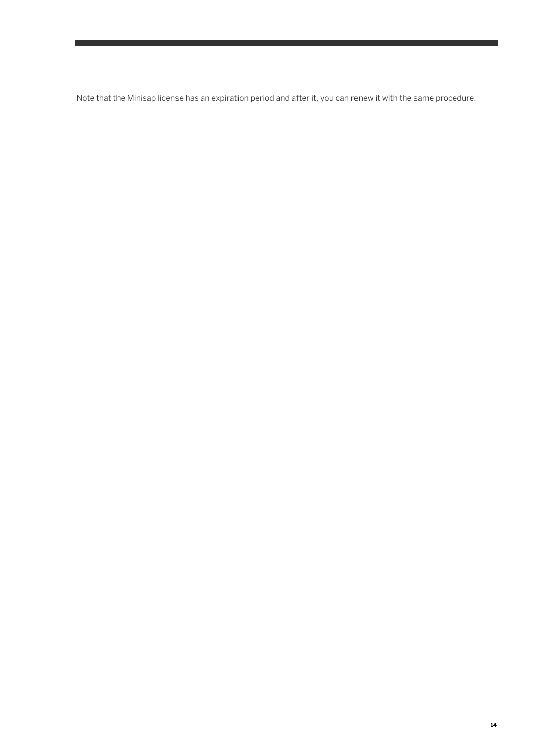Note that the Minisap license has an expiration period and after it, you can renew it with the same procedure.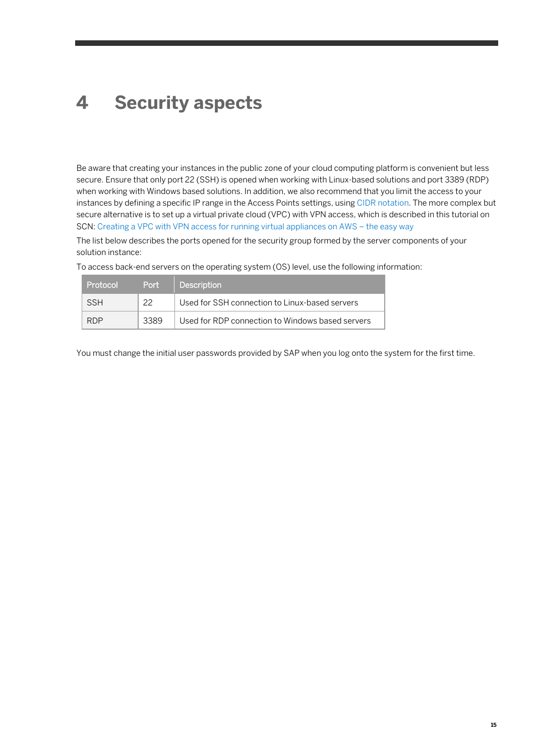# <span id="page-14-0"></span>**4 Security aspects**

Be aware that creating your instances in the public zone of your cloud computing platform is convenient but less secure. Ensure that only port 22 (SSH) is opened when working with Linux-based solutions and port 3389 (RDP) when working with Windows based solutions. In addition, we also recommend that you limit the access to your instances by defining a specific IP range in the Access Points settings, usin[g CIDR notation.](http://en.wikipedia.org/wiki/Classless_Inter-Domain_Routing) The more complex but secure alternative is to set up a virtual private cloud (VPC) with VPN access, which is described in this tutorial on SCN[: Creating a VPC with VPN access for running virtual appliances on AWS –](https://blogs.sap.com/2014/09/09/creating-a-vpc-with-vpn-access-for-running-virtual-appliances-on-aws-the-easy-way/) the easy way

The list below describes the ports opened for the security group formed by the server components of your solution instance:

| Protocol   | Port | Description \                                    |
|------------|------|--------------------------------------------------|
| <b>SSH</b> | 22   | Used for SSH connection to Linux-based servers   |
| <b>RDP</b> | 3389 | Used for RDP connection to Windows based servers |

To access back-end servers on the operating system (OS) level, use the following information:

You must change the initial user passwords provided by SAP when you log onto the system for the first time.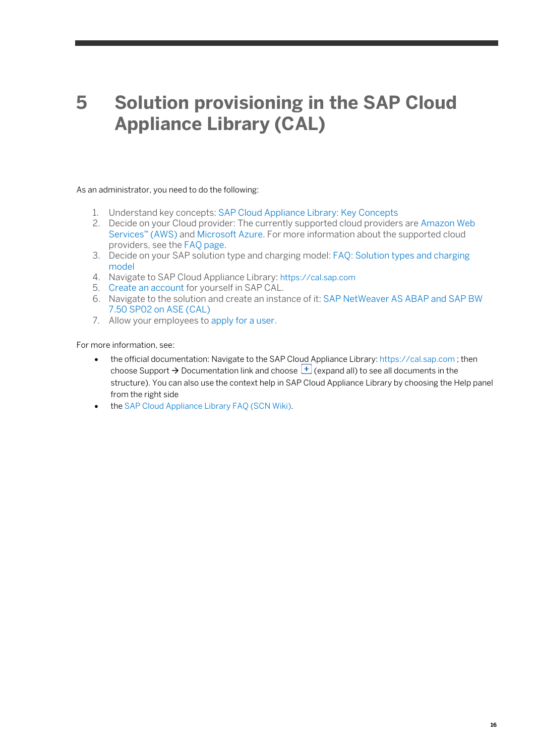# <span id="page-15-0"></span>**5 Solution provisioning in the SAP Cloud Appliance Library (CAL)**

As an administrator, you need to do the following:

- 1. Understand key concepts: SAP Cloud [Appliance Library: Key Concepts](https://calstatic.hana.ondemand.com/res/docEN/729e7cfaa8c84423b89ba81b0a7ff974.html)
- 2. Decide on your Cloud provider: The currently supported cloud providers ar[e Amazon Web](http://aws.amazon.com/ec2/pricing/)  [Services™ \(AWS\)](http://aws.amazon.com/ec2/pricing/) an[d Microsoft Azure.](https://azure.microsoft.com/en-us/) For more information about the supported cloud providers, see the [FAQ page.](http://scn.sap.com/docs/DOC-33673)
- 3. Decide on your SAP solution type and charging model[: FAQ: Solution types and charging](https://blogs.sap.com/2016/08/23/faq-solution-types-and-charging-model/)  [model](https://blogs.sap.com/2016/08/23/faq-solution-types-and-charging-model/)
- 4. Navigate to SAP Cloud Appliance Library: [https://cal.sap.com](https://cal.sap.com/)
- 5. [Create an account](https://calstatic.hana.ondemand.com/res/docEN/042bb15ad2324c3c9b7974dbde389640.html) for yourself in SAP CAL.
- 6. Navigate to the solution and create an instance of it: [SAP NetWeaver AS ABAP and SAP BW](https://tiint.hana.ondemand.com/console/#/solutions/4cf4c9c5-5e62-4426-a7f7-985222671335)  [7.50 SP02 on ASE \(CAL\)](https://tiint.hana.ondemand.com/console/#/solutions/4cf4c9c5-5e62-4426-a7f7-985222671335)
- 7. Allow your employees to [apply for a user.](https://calstatic.hana.ondemand.com/res/docEN/46948f72469c42c88e1735fcb7aea529.html)

For more information, see:

- the official documentation: Navigate to the SAP Cloud Appliance Library[: https://cal.sap.com](https://cal.sap.com/); then choose Support  $\rightarrow$  Documentation link and choose  $\Box$  (expand all) to see all documents in the structure). You can also use the context help in SAP Cloud Appliance Library by choosing the Help panel from the right side
- th[e SAP Cloud Appliance Library FAQ \(SCN Wiki\).](https://wiki.scn.sap.com/wiki/display/SAPCAL/SAP+Cloud+Appliance+Library+-+FAQ)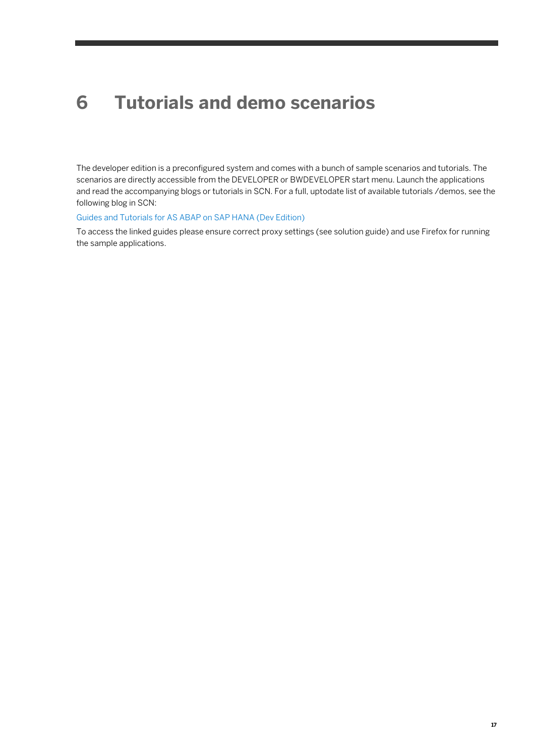# <span id="page-16-0"></span>**6 Tutorials and demo scenarios**

The developer edition is a preconfigured system and comes with a bunch of sample scenarios and tutorials. The scenarios are directly accessible from the DEVELOPER or BWDEVELOPER start menu. Launch the applications and read the accompanying blogs or tutorials in SCN. For a full, uptodate list of available tutorials /demos, see the following blog in SCN:

#### [Guides and Tutorials for AS ABAP on SAP HANA \(Dev Edition\)](https://blogs.sap.com/2014/02/06/guides-and-tutorials-for-the-developer-edition-of-as-abap-incl-bw-on-sap-hana/)

To access the linked guides please ensure correct proxy settings (see solution guide) and use Firefox for running the sample applications.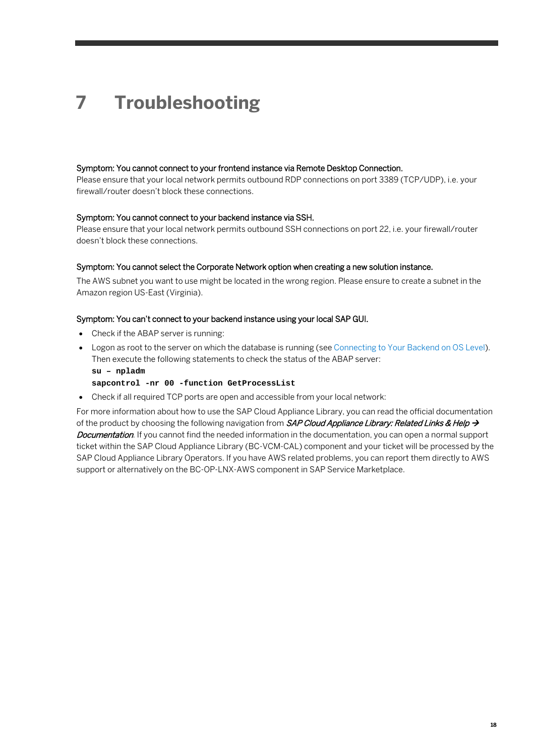# <span id="page-17-0"></span>**7 Troubleshooting**

#### Symptom: You cannot connect to your frontend instance via Remote Desktop Connection.

Please ensure that your local network permits outbound RDP connections on port 3389 (TCP/UDP), i.e. your firewall/router doesn't block these connections.

#### Symptom: You cannot connect to your backend instance via SSH.

Please ensure that your local network permits outbound SSH connections on port 22, i.e. your firewall/router doesn't block these connections.

#### Symptom: You cannot select the Corporate Network option when creating a new solution instance.

The AWS subnet you want to use might be located in the wrong region. Please ensure to create a subnet in the Amazon region US-East (Virginia).

#### Symptom: You can't connect to your backend instance using your local SAP GUI.

- Check if the ABAP server is running:
- Logon as root to the server on which the database is running (se[e Connecting to Your Backend on OS Level\)](#page-8-1). Then execute the following statements to check the status of the ABAP server: **su – npladm**

#### **sapcontrol -nr 00 -function GetProcessList**

• Check if all required TCP ports are open and accessible from your local network:

For more information about how to use the SAP Cloud Appliance Library, you can read the official documentation of the product by choosing the following navigation from SAP Cloud Appliance Library: Related Links & Help  $\rightarrow$ Documentation. If you cannot find the needed information in the documentation, you can open a normal support ticket within the SAP Cloud Appliance Library (BC-VCM-CAL) component and your ticket will be processed by the SAP Cloud Appliance Library Operators. If you have AWS related problems, you can report them directly to AWS support or alternatively on the BC-OP-LNX-AWS component in SAP Service Marketplace.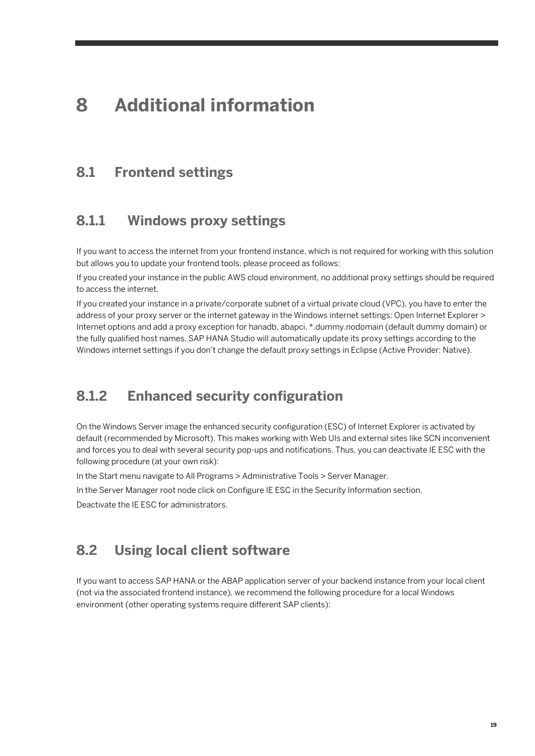# <span id="page-18-0"></span>**8 Additional information**

### <span id="page-18-1"></span>**8.1 Frontend settings**

### <span id="page-18-2"></span>**8.1.1 Windows proxy settings**

If you want to access the internet from your frontend instance, which is not required for working with this solution but allows you to update your frontend tools, please proceed as follows:

If you created your instance in the public AWS cloud environment, no additional proxy settings should be required to access the internet.

If you created your instance in a private/corporate subnet of a virtual private cloud (VPC), you have to enter the address of your proxy server or the internet gateway in the Windows internet settings: Open Internet Explorer > Internet options and add a proxy exception for hanadb, abapci, \*.dummy.nodomain (default dummy domain) or the fully qualified host names. SAP HANA Studio will automatically update its proxy settings according to the Windows internet settings if you don't change the default proxy settings in Eclipse (Active Provider: Native).

### <span id="page-18-3"></span>**8.1.2 Enhanced security configuration**

On the Windows Server image the enhanced security configuration (ESC) of Internet Explorer is activated by default (recommended by Microsoft). This makes working with Web UIs and external sites like SCN inconvenient and forces you to deal with several security pop-ups and notifications. Thus, you can deactivate IE ESC with the following procedure (at your own risk):

In the Start menu navigate to All Programs > Administrative Tools > Server Manager.

In the Server Manager root node click on Configure IE ESC in the Security Information section.

<span id="page-18-4"></span>Deactivate the IE ESC for administrators.

### **8.2 Using local client software**

If you want to access SAP HANA or the ABAP application server of your backend instance from your local client (not via the associated frontend instance), we recommend the following procedure for a local Windows environment (other operating systems require different SAP clients):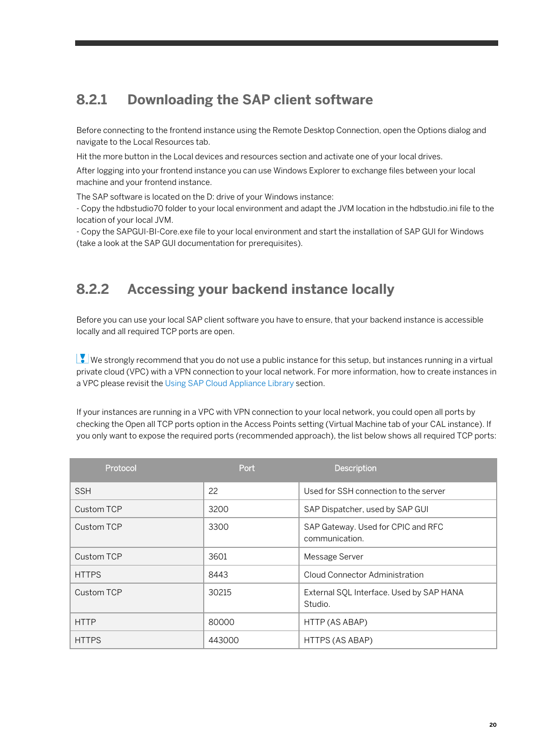# <span id="page-19-0"></span>**8.2.1 Downloading the SAP client software**

Before connecting to the frontend instance using the Remote Desktop Connection, open the Options dialog and navigate to the Local Resources tab.

Hit the more button in the Local devices and resources section and activate one of your local drives.

After logging into your frontend instance you can use Windows Explorer to exchange files between your local machine and your frontend instance.

The SAP software is located on the D: drive of your Windows instance:

- Copy the hdbstudio70 folder to your local environment and adapt the JVM location in the hdbstudio.ini file to the location of your local JVM.

<span id="page-19-1"></span>- Copy the SAPGUI-BI-Core.exe file to your local environment and start the installation of SAP GUI for Windows (take a look at the SAP GUI documentation for prerequisites).

## **8.2.2 Accessing your backend instance locally**

Before you can use your local SAP client software you have to ensure, that your backend instance is accessible locally and all required TCP ports are open.

We strongly recommend that you do not use a public instance for this setup, but instances running in a virtual private cloud (VPC) with a VPN connection to your local network. For more information, how to create instances in a VPC please revisit the Using SAP Cloud Appliance Library section.

If your instances are running in a VPC with VPN connection to your local network, you could open all ports by checking the Open all TCP ports option in the Access Points setting (Virtual Machine tab of your CAL instance). If you only want to expose the required ports (recommended approach), the list below shows all required TCP ports:

| Protocol     | Port   | <b>Description</b>                                   |
|--------------|--------|------------------------------------------------------|
| <b>SSH</b>   | 22     | Used for SSH connection to the server                |
| Custom TCP   | 3200   | SAP Dispatcher, used by SAP GUI                      |
| Custom TCP   | 3300   | SAP Gateway. Used for CPIC and RFC<br>communication. |
| Custom TCP   | 3601   | Message Server                                       |
| <b>HTTPS</b> | 8443   | Cloud Connector Administration                       |
| Custom TCP   | 30215  | External SQL Interface. Used by SAP HANA<br>Studio.  |
| <b>HTTP</b>  | 80000  | HTTP (AS ABAP)                                       |
| <b>HTTPS</b> | 443000 | HTTPS (AS ABAP)                                      |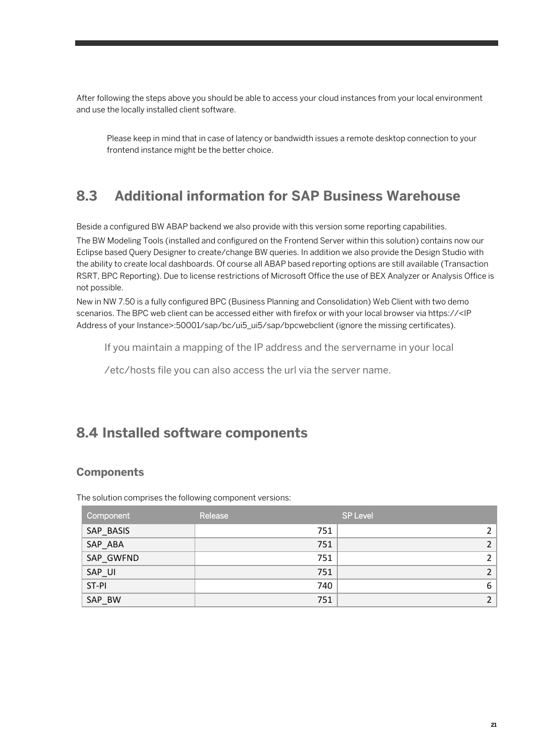After following the steps above you should be able to access your cloud instances from your local environment and use the locally installed client software.

Please keep in mind that in case of latency or bandwidth issues a remote desktop connection to your frontend instance might be the better choice.

# <span id="page-20-0"></span>**8.3 Additional information for SAP Business Warehouse**

Beside a configured BW ABAP backend we also provide with this version some reporting capabilities.

The BW Modeling Tools (installed and configured on the Frontend Server within this solution) contains now our Eclipse based Query Designer to create/change BW queries. In addition we also provide the Design Studio with the ability to create local dashboards. Of course all ABAP based reporting options are still available (Transaction RSRT, BPC Reporting). Due to license restrictions of Microsoft Office the use of BEX Analyzer or Analysis Office is not possible.

New in NW 7.50 is a fully configured BPC (Business Planning and Consolidation) Web Client with two demo scenarios. The BPC web client can be accessed either with firefox or with your local browser via https://<IP Address of your Instance>:50001/sap/bc/ui5\_ui5/sap/bpcwebclient (ignore the missing certificates).

If you maintain a mapping of the IP address and the servername in your local

/etc/hosts file you can also access the url via the server name.

## <span id="page-20-1"></span>**8.4 Installed software components**

### **Components**

The solution comprises the following component versions:

| Component | Release | <b>SP Level</b> |
|-----------|---------|-----------------|
| SAP_BASIS | 751     | $\mathbf{2}$    |
| SAP_ABA   | 751     | $\overline{2}$  |
| SAP_GWFND | 751     | $\mathcal{L}$   |
| SAP_UI    | 751     | $\overline{2}$  |
| ST-PI     | 740     | 6               |
| SAP_BW    | 751     | $\overline{2}$  |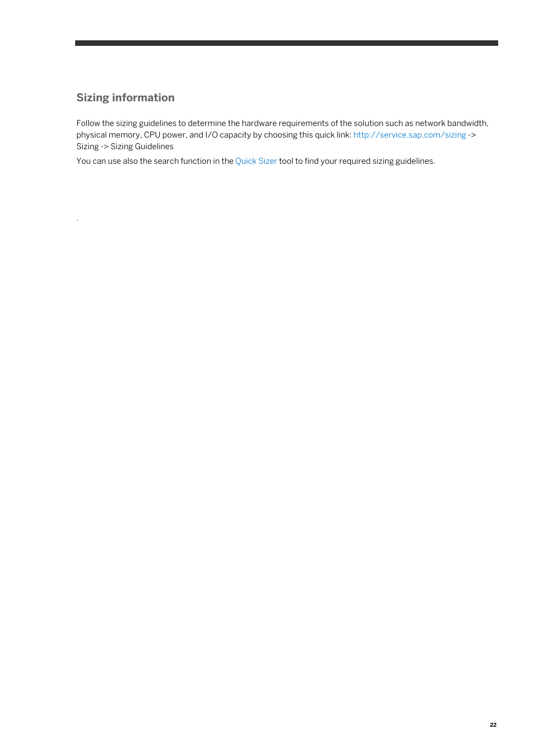### **Sizing information**

.

Follow the sizing guidelines to determine the hardware requirements of the solution such as network bandwidth, physical memory, CPU power, and I/O capacity by choosing this quick link[: http://service.sap.com/sizing](http://service.sap.com/sizing) -> Sizing -> Sizing Guidelines

You can use also the search function in the [Quick Sizer](http://service.sap.com/) tool to find your required sizing guidelines.